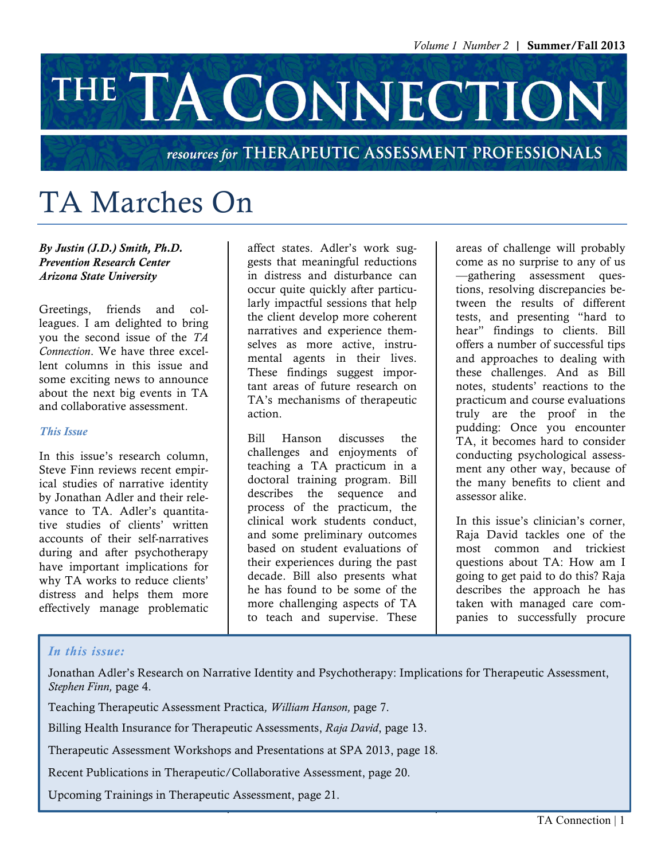# THE TA CONNECTION

### resources for THERAPEUTIC ASSESSMENT PROFESSIONALS

## TA Marches On

*By Justin (J.D.) Smith, Ph.D. Prevention Research Center Arizona State University*

Greetings, friends and colleagues. I am delighted to bring you the second issue of the *TA Connection*. We have three excellent columns in this issue and some exciting news to announce about the next big events in TA and collaborative assessment.

### *This Issue*

In this issue's research column, Steve Finn reviews recent empirical studies of narrative identity by Jonathan Adler and their relevance to TA. Adler's quantitative studies of clients' written accounts of their self-narratives during and after psychotherapy have important implications for why TA works to reduce clients' distress and helps them more effectively manage problematic

affect states. Adler's work suggests that meaningful reductions in distress and disturbance can occur quite quickly after particularly impactful sessions that help the client develop more coherent narratives and experience themselves as more active, instrumental agents in their lives. These findings suggest important areas of future research on TA's mechanisms of therapeutic action.

Bill Hanson discusses the challenges and enjoyments of teaching a TA practicum in a doctoral training program. Bill describes the sequence and process of the practicum, the clinical work students conduct, and some preliminary outcomes based on student evaluations of their experiences during the past decade. Bill also presents what he has found to be some of the more challenging aspects of TA to teach and supervise. These

areas of challenge will probably come as no surprise to any of us —gathering assessment questions, resolving discrepancies between the results of different tests, and presenting "hard to hear" findings to clients. Bill offers a number of successful tips and approaches to dealing with these challenges. And as Bill notes, students' reactions to the practicum and course evaluations truly are the proof in the pudding: Once you encounter TA, it becomes hard to consider conducting psychological assessment any other way, because of the many benefits to client and assessor alike.

In this issue's clinician's corner, Raja David tackles one of the most common and trickiest questions about TA: How am I going to get paid to do this? Raja describes the approach he has taken with managed care companies to successfully procure

### *In this issue:*

Jonathan Adler's Research on Narrative Identity and Psychotherapy: Implications for Therapeutic Assessment, *Stephen Finn,* page 4.

Teaching Therapeutic Assessment Practica*, William Hanson,* page 7.

Billing Health Insurance for Therapeutic Assessments, *Raja David*, page 13.

Therapeutic Assessment Workshops and Presentations at SPA 2013, page 18*.*

Recent Publications in Therapeutic/Collaborative Assessment, page 20.

Upcoming Trainings in Therapeutic Assessment, page 21.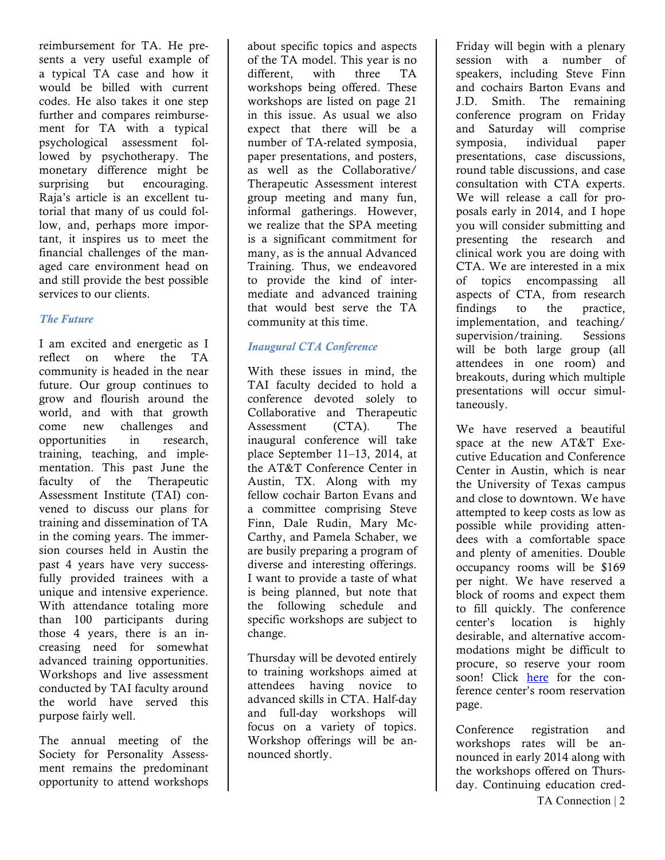reimbursement for TA. He presents a very useful example of a typical TA case and how it would be billed with current codes. He also takes it one step further and compares reimbursement for TA with a typical psychological assessment followed by psychotherapy. The monetary difference might be surprising but encouraging. Raja's article is an excellent tutorial that many of us could follow, and, perhaps more important, it inspires us to meet the financial challenges of the managed care environment head on and still provide the best possible services to our clients.

### *The Future*

I am excited and energetic as I reflect on where the TA community is headed in the near future. Our group continues to grow and flourish around the world, and with that growth come new challenges and opportunities in research, training, teaching, and implementation. This past June the faculty of the Therapeutic Assessment Institute (TAI) convened to discuss our plans for training and dissemination of TA in the coming years. The immersion courses held in Austin the past 4 years have very successfully provided trainees with a unique and intensive experience. With attendance totaling more than 100 participants during those 4 years, there is an increasing need for somewhat advanced training opportunities. Workshops and live assessment conducted by TAI faculty around the world have served this purpose fairly well.

The annual meeting of the Society for Personality Assessment remains the predominant opportunity to attend workshops

about specific topics and aspects of the TA model. This year is no different, with three TA workshops being offered. These workshops are listed on page 21 in this issue. As usual we also expect that there will be a number of TA-related symposia, paper presentations, and posters, as well as the Collaborative/ Therapeutic Assessment interest group meeting and many fun, informal gatherings. However, we realize that the SPA meeting is a significant commitment for many, as is the annual Advanced Training. Thus, we endeavored to provide the kind of intermediate and advanced training that would best serve the TA community at this time.

### *Inaugural CTA Conference*

With these issues in mind, the TAI faculty decided to hold a conference devoted solely to Collaborative and Therapeutic Assessment (CTA). The inaugural conference will take place September 11–13, 2014, at the AT&T Conference Center in Austin, TX. Along with my fellow cochair Barton Evans and a committee comprising Steve Finn, Dale Rudin, Mary Mc-Carthy, and Pamela Schaber, we are busily preparing a program of diverse and interesting offerings. I want to provide a taste of what is being planned, but note that the following schedule and specific workshops are subject to change.

Thursday will be devoted entirely to training workshops aimed at attendees having novice to advanced skills in CTA. Half-day and full-day workshops will focus on a variety of topics. Workshop offerings will be announced shortly.

Friday will begin with a plenary session with a number of speakers, including Steve Finn and cochairs Barton Evans and J.D. Smith. The remaining conference program on Friday and Saturday will comprise symposia, individual paper presentations, case discussions, round table discussions, and case consultation with CTA experts. We will release a call for proposals early in 2014, and I hope you will consider submitting and presenting the research and clinical work you are doing with CTA. We are interested in a mix of topics encompassing all aspects of CTA, from research findings to the practice, implementation, and teaching/ supervision/training. Sessions will be both large group (all attendees in one room) and breakouts, during which multiple presentations will occur simultaneously.

We have reserved a beautiful space at the new AT&T Executive Education and Conference Center in Austin, which is near the University of Texas campus and close to downtown. We have attempted to keep costs as low as possible while providing attendees with a comfortable space and plenty of amenities. Double occupancy rooms will be \$169 per night. We have reserved a block of rooms and expect them to fill quickly. The conference center's location is highly desirable, and alternative accommodations might be difficult to procure, so reserve your room soon! Click here for the conference center's room reservation page.

Conference registration and workshops rates will be announced in early 2014 along with the workshops offered on Thursday. Continuing education cred-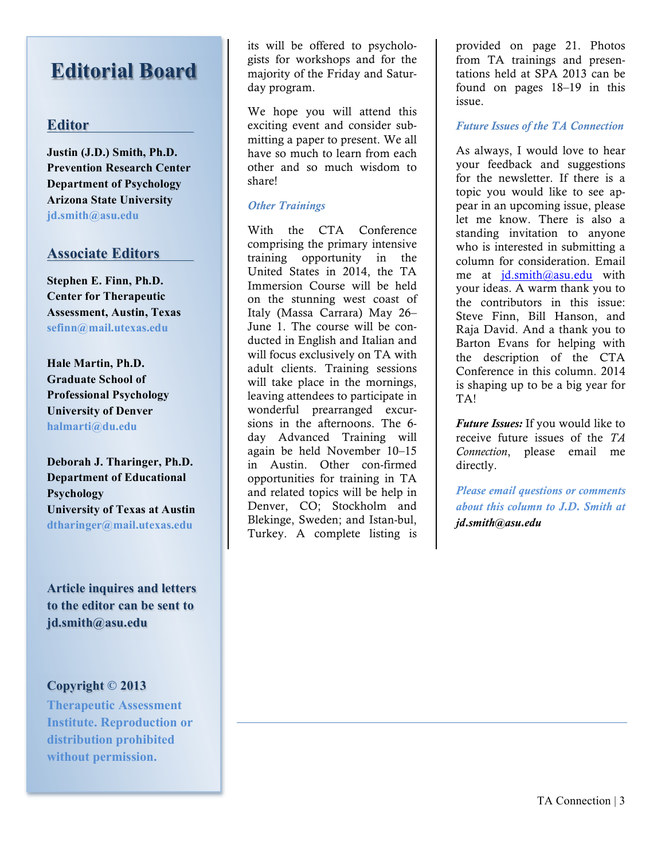## **Editorial Board**

### **Editor**

**Justin (J.D.) Smith, Ph.D. Prevention Research Center Department of Psychology Arizona State University jd.smith@asu.edu**

### **Associate Editors**

**Stephen E. Finn, Ph.D. Center for Therapeutic Assessment, Austin, Texas sefinn@mail.utexas.edu**

**Hale Martin, Ph.D. Graduate School of Professional Psychology University of Denver halmarti@du.edu**

**Deborah J. Tharinger, Ph.D. Department of Educational Psychology University of Texas at Austin dtharinger@mail.utexas.edu**

**Article inquires and letters to the editor can be sent to jd.smith@asu.edu**

### **Copyright © 2013**

**Therapeutic Assessment Institute. Reproduction or distribution prohibited without permission.**

its will be offered to psychologists for workshops and for the majority of the Friday and Saturday program.

We hope you will attend this exciting event and consider submitting a paper to present. We all have so much to learn from each other and so much wisdom to share!

### *Other Trainings*

With the CTA Conference comprising the primary intensive training opportunity in the United States in 2014, the TA Immersion Course will be held on the stunning west coast of Italy (Massa Carrara) May 26– June 1. The course will be conducted in English and Italian and will focus exclusively on TA with adult clients. Training sessions will take place in the mornings, leaving attendees to participate in wonderful prearranged excursions in the afternoons. The 6 day Advanced Training will again be held November 10–15 in Austin. Other con-firmed opportunities for training in TA and related topics will be help in Denver, CO; Stockholm and Blekinge, Sweden; and Istan-bul, Turkey. A complete listing is provided on page 21. Photos from TA trainings and presentations held at SPA 2013 can be found on pages 18–19 in this issue.

### *Future Issues of the TA Connection*

As always, I would love to hear your feedback and suggestions for the newsletter. If there is a topic you would like to see appear in an upcoming issue, please let me know. There is also a standing invitation to anyone who is interested in submitting a column for consideration. Email me at jd.smith@asu.edu with your ideas. A warm thank you to the contributors in this issue: Steve Finn, Bill Hanson, and Raja David. And a thank you to Barton Evans for helping with the description of the CTA Conference in this column. 2014 is shaping up to be a big year for TA!

*Future Issues:* If you would like to receive future issues of the *TA Connection*, please email me directly.

*Please email questions or comments about this column to J.D. Smith at jd.smith@asu.edu*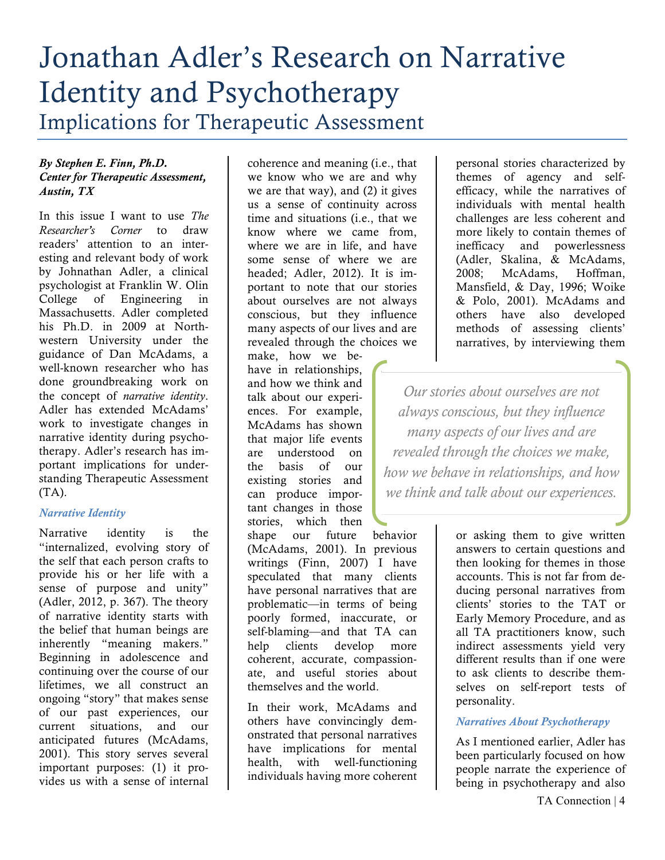## Jonathan Adler's Research on Narrative Identity and Psychotherapy Implications for Therapeutic Assessment

### *By Stephen E. Finn, Ph.D. Center for Therapeutic Assessment, Austin, TX*

In this issue I want to use *The Researcher's Corner* to draw readers' attention to an interesting and relevant body of work by Johnathan Adler, a clinical psychologist at Franklin W. Olin College of Engineering in Massachusetts. Adler completed his Ph.D. in 2009 at Northwestern University under the guidance of Dan McAdams, a well-known researcher who has done groundbreaking work on the concept of *narrative identity*. Adler has extended McAdams' work to investigate changes in narrative identity during psychotherapy. Adler's research has important implications for understanding Therapeutic Assessment  $(TA)$ .

### *Narrative Identity*

Narrative identity is the "internalized, evolving story of the self that each person crafts to provide his or her life with a sense of purpose and unity" (Adler, 2012, p. 367). The theory of narrative identity starts with the belief that human beings are inherently "meaning makers." Beginning in adolescence and continuing over the course of our lifetimes, we all construct an ongoing "story" that makes sense of our past experiences, our current situations, and our anticipated futures (McAdams, 2001). This story serves several important purposes: (1) it provides us with a sense of internal

coherence and meaning (i.e., that we know who we are and why we are that way), and (2) it gives us a sense of continuity across time and situations (i.e., that we know where we came from, where we are in life, and have some sense of where we are headed; Adler, 2012). It is important to note that our stories about ourselves are not always conscious, but they influence many aspects of our lives and are revealed through the choices we

make, how we behave in relationships, and how we think and talk about our experiences. For example, McAdams has shown that major life events are understood on the basis of our existing stories and can produce important changes in those stories, which then shape our future behavior

(McAdams, 2001). In previous writings (Finn, 2007) I have speculated that many clients have personal narratives that are problematic—in terms of being poorly formed, inaccurate, or self-blaming—and that TA can help clients develop more coherent, accurate, compassionate, and useful stories about themselves and the world.

In their work, McAdams and others have convincingly demonstrated that personal narratives have implications for mental health, with well-functioning individuals having more coherent

personal stories characterized by themes of agency and selfefficacy, while the narratives of individuals with mental health challenges are less coherent and more likely to contain themes of inefficacy and powerlessness (Adler, Skalina, & McAdams, 2008; McAdams, Hoffman, Mansfield, & Day, 1996; Woike & Polo, 2001). McAdams and others have also developed methods of assessing clients' narratives, by interviewing them

*Our stories about ourselves are not always conscious, but they influence many aspects of our lives and are revealed through the choices we make, how we behave in relationships, and how we think and talk about our experiences.*

> or asking them to give written answers to certain questions and then looking for themes in those accounts. This is not far from deducing personal narratives from clients' stories to the TAT or Early Memory Procedure, and as all TA practitioners know, such indirect assessments yield very different results than if one were to ask clients to describe themselves on self-report tests of personality.

### *Narratives About Psychotherapy*

As I mentioned earlier, Adler has been particularly focused on how people narrate the experience of being in psychotherapy and also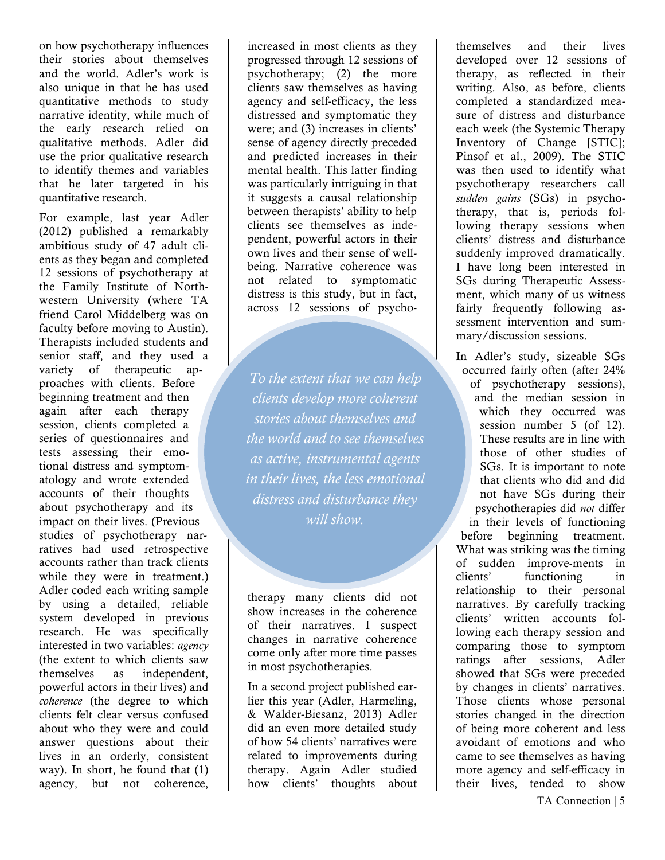on how psychotherapy influences their stories about themselves and the world. Adler's work is also unique in that he has used quantitative methods to study narrative identity, while much of the early research relied on qualitative methods. Adler did use the prior qualitative research to identify themes and variables that he later targeted in his quantitative research.

For example, last year Adler (2012) published a remarkably ambitious study of 47 adult clients as they began and completed 12 sessions of psychotherapy at the Family Institute of Northwestern University (where TA friend Carol Middelberg was on faculty before moving to Austin). Therapists included students and senior staff, and they used a variety of therapeutic approaches with clients. Before beginning treatment and then again after each therapy session, clients completed a series of questionnaires and tests assessing their emotional distress and symptomatology and wrote extended accounts of their thoughts about psychotherapy and its impact on their lives. (Previous studies of psychotherapy narratives had used retrospective accounts rather than track clients while they were in treatment.) Adler coded each writing sample by using a detailed, reliable system developed in previous research. He was specifically interested in two variables: *agency* (the extent to which clients saw themselves as independent, powerful actors in their lives) and *coherence* (the degree to which clients felt clear versus confused about who they were and could answer questions about their lives in an orderly, consistent way). In short, he found that (1) agency, but not coherence,

increased in most clients as they progressed through 12 sessions of psychotherapy; (2) the more clients saw themselves as having agency and self-efficacy, the less distressed and symptomatic they were; and (3) increases in clients' sense of agency directly preceded and predicted increases in their mental health. This latter finding was particularly intriguing in that it suggests a causal relationship between therapists' ability to help clients see themselves as independent, powerful actors in their own lives and their sense of wellbeing. Narrative coherence was not related to symptomatic distress is this study, but in fact, across 12 sessions of psycho-

*To the extent that we can help clients develop more coherent stories about themselves and the world and to see themselves as active, instrumental agents in their lives, the less emotional distress and disturbance they will show.*

therapy many clients did not show increases in the coherence of their narratives. I suspect changes in narrative coherence come only after more time passes in most psychotherapies.

In a second project published earlier this year (Adler, Harmeling, & Walder-Biesanz, 2013) Adler did an even more detailed study of how 54 clients' narratives were related to improvements during therapy. Again Adler studied how clients' thoughts about

themselves and their lives developed over 12 sessions of therapy, as reflected in their writing. Also, as before, clients completed a standardized measure of distress and disturbance each week (the Systemic Therapy Inventory of Change [STIC]; Pinsof et al., 2009). The STIC was then used to identify what psychotherapy researchers call *sudden gains* (SGs) in psychotherapy, that is, periods following therapy sessions when clients' distress and disturbance suddenly improved dramatically. I have long been interested in SGs during Therapeutic Assessment, which many of us witness fairly frequently following assessment intervention and summary/discussion sessions.

In Adler's study, sizeable SGs occurred fairly often (after 24% of psychotherapy sessions), and the median session in which they occurred was session number 5 (of 12). These results are in line with those of other studies of SGs. It is important to note that clients who did and did not have SGs during their psychotherapies did *not* differ in their levels of functioning before beginning treatment. What was striking was the timing of sudden improve-ments in clients' functioning in relationship to their personal narratives. By carefully tracking clients' written accounts following each therapy session and comparing those to symptom ratings after sessions, Adler showed that SGs were preceded by changes in clients' narratives. Those clients whose personal stories changed in the direction of being more coherent and less avoidant of emotions and who came to see themselves as having more agency and self-efficacy in their lives, tended to show

TA Connection | 5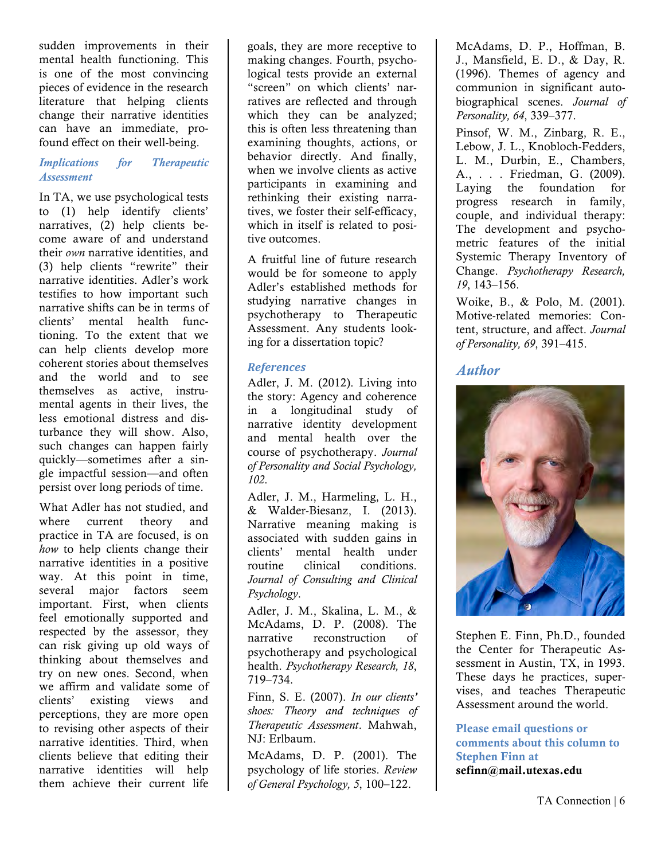sudden improvements in their mental health functioning. This is one of the most convincing pieces of evidence in the research literature that helping clients change their narrative identities can have an immediate, profound effect on their well-being.

### *Implications for Therapeutic Assessment*

In TA, we use psychological tests to (1) help identify clients' narratives, (2) help clients become aware of and understand their *own* narrative identities, and (3) help clients "rewrite" their narrative identities. Adler's work testifies to how important such narrative shifts can be in terms of clients' mental health functioning. To the extent that we can help clients develop more coherent stories about themselves and the world and to see themselves as active, instrumental agents in their lives, the less emotional distress and disturbance they will show. Also, such changes can happen fairly quickly—sometimes after a single impactful session—and often persist over long periods of time.

What Adler has not studied, and where current theory and practice in TA are focused, is on *how* to help clients change their narrative identities in a positive way. At this point in time, several major factors seem important. First, when clients feel emotionally supported and respected by the assessor, they can risk giving up old ways of thinking about themselves and try on new ones. Second, when we affirm and validate some of clients' existing views and perceptions, they are more open to revising other aspects of their narrative identities. Third, when clients believe that editing their narrative identities will help them achieve their current life

goals, they are more receptive to making changes. Fourth, psychological tests provide an external "screen" on which clients' narratives are reflected and through which they can be analyzed; this is often less threatening than examining thoughts, actions, or behavior directly. And finally, when we involve clients as active participants in examining and rethinking their existing narratives, we foster their self-efficacy, which in itself is related to positive outcomes.

A fruitful line of future research would be for someone to apply Adler's established methods for studying narrative changes in psychotherapy to Therapeutic Assessment. Any students looking for a dissertation topic?

### *References*

Adler, J. M. (2012). Living into the story: Agency and coherence in a longitudinal study of narrative identity development and mental health over the course of psychotherapy. *Journal of Personality and Social Psychology, 102*.

Adler, J. M., Harmeling, L. H., & Walder-Biesanz, I. (2013). Narrative meaning making is associated with sudden gains in clients' mental health under routine clinical conditions. *Journal of Consulting and Clinical Psychology*.

Adler, J. M., Skalina, L. M., & McAdams, D. P. (2008). The narrative reconstruction of psychotherapy and psychological health. *Psychotherapy Research, 18*, 719–734.

Finn, S. E. (2007). *In our clients' shoes: Theory and techniques of Therapeutic Assessment*. Mahwah, NJ: Erlbaum.

McAdams, D. P. (2001). The psychology of life stories. *Review of General Psychology, 5*, 100–122.

McAdams, D. P., Hoffman, B. J., Mansfield, E. D., & Day, R. (1996). Themes of agency and communion in significant autobiographical scenes. *Journal of Personality, 64*, 339–377.

Pinsof, W. M., Zinbarg, R. E., Lebow, J. L., Knobloch-Fedders, L. M., Durbin, E., Chambers, A., . . . Friedman, G. (2009). Laying the foundation for progress research in family, couple, and individual therapy: The development and psychometric features of the initial Systemic Therapy Inventory of Change. *Psychotherapy Research, 19*, 143–156.

Woike, B., & Polo, M. (2001). Motive-related memories: Content, structure, and affect. *Journal of Personality, 69*, 391–415.

### *Author*



Stephen E. Finn, Ph.D., founded the Center for Therapeutic Assessment in Austin, TX, in 1993. These days he practices, supervises, and teaches Therapeutic Assessment around the world.

Please email questions or comments about this column to Stephen Finn at sefinn@mail.utexas.edu

TA Connection | 6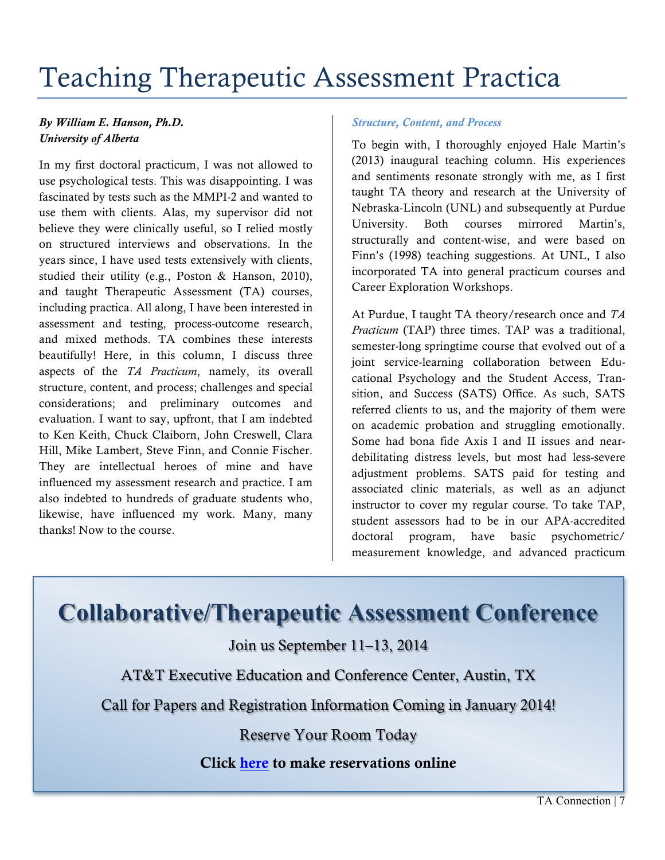## Teaching Therapeutic Assessment Practica

### *By William E. Hanson, Ph.D. University of Alberta*

In my first doctoral practicum, I was not allowed to use psychological tests. This was disappointing. I was fascinated by tests such as the MMPI-2 and wanted to use them with clients. Alas, my supervisor did not believe they were clinically useful, so I relied mostly on structured interviews and observations. In the years since, I have used tests extensively with clients, studied their utility (e.g., Poston & Hanson, 2010), and taught Therapeutic Assessment (TA) courses, including practica. All along, I have been interested in assessment and testing, process-outcome research, and mixed methods. TA combines these interests beautifully! Here, in this column, I discuss three aspects of the *TA Practicum*, namely, its overall structure, content, and process; challenges and special considerations; and preliminary outcomes and evaluation. I want to say, upfront, that I am indebted to Ken Keith, Chuck Claiborn, John Creswell, Clara Hill, Mike Lambert, Steve Finn, and Connie Fischer. They are intellectual heroes of mine and have influenced my assessment research and practice. I am also indebted to hundreds of graduate students who, likewise, have influenced my work. Many, many thanks! Now to the course.

### *Structure, Content, and Process*

To begin with, I thoroughly enjoyed Hale Martin's (2013) inaugural teaching column. His experiences and sentiments resonate strongly with me, as I first taught TA theory and research at the University of Nebraska-Lincoln (UNL) and subsequently at Purdue University. Both courses mirrored Martin's, structurally and content-wise, and were based on Finn's (1998) teaching suggestions. At UNL, I also incorporated TA into general practicum courses and Career Exploration Workshops.

At Purdue, I taught TA theory/research once and *TA Practicum* (TAP) three times. TAP was a traditional, semester-long springtime course that evolved out of a joint service-learning collaboration between Educational Psychology and the Student Access, Transition, and Success (SATS) Office. As such, SATS referred clients to us, and the majority of them were on academic probation and struggling emotionally. Some had bona fide Axis I and II issues and neardebilitating distress levels, but most had less-severe adjustment problems. SATS paid for testing and associated clinic materials, as well as an adjunct instructor to cover my regular course. To take TAP, student assessors had to be in our APA-accredited doctoral program, have basic psychometric/ measurement knowledge, and advanced practicum

**Collaborative/Therapeutic Assessment Conference**

Join us September 11–13, 2014

AT&T Executive Education and Conference Center, Austin, TX

Call for Papers and Registration Information Coming in January 2014!

Reserve Your Room Today

Click here to make reservations online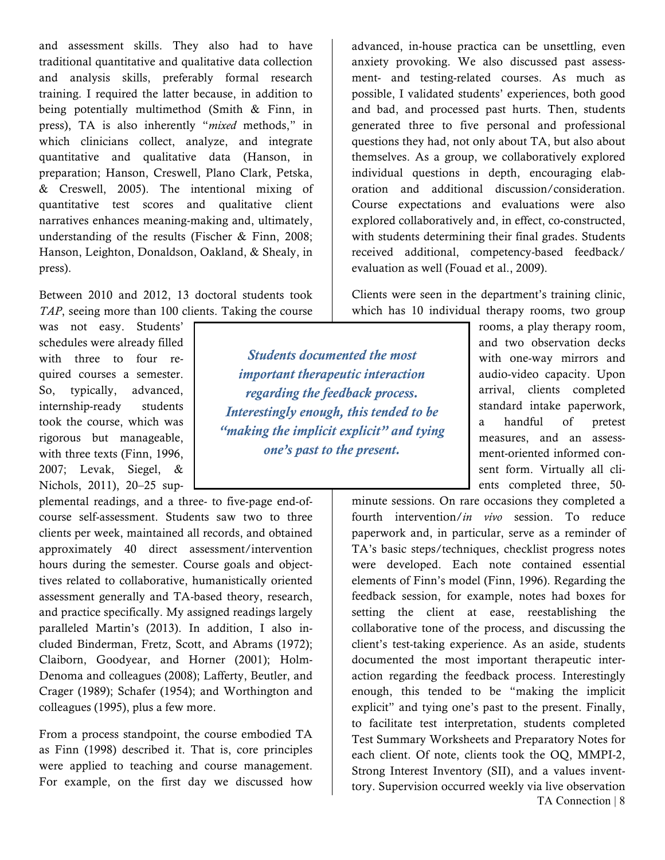and assessment skills. They also had to have traditional quantitative and qualitative data collection and analysis skills, preferably formal research training. I required the latter because, in addition to being potentially multimethod (Smith & Finn, in press), TA is also inherently "*mixed* methods," in which clinicians collect, analyze, and integrate quantitative and qualitative data (Hanson, in preparation; Hanson, Creswell, Plano Clark, Petska, & Creswell, 2005). The intentional mixing of quantitative test scores and qualitative client narratives enhances meaning-making and, ultimately, understanding of the results (Fischer & Finn, 2008; Hanson, Leighton, Donaldson, Oakland, & Shealy, in press).

Between 2010 and 2012, 13 doctoral students took *TAP*, seeing more than 100 clients. Taking the course

> *Students documented the most important therapeutic interaction regarding the feedback process. Interestingly enough, this tended to be "making the implicit explicit" and tying one's past to the present.*

was not easy. Students' schedules were already filled with three to four required courses a semester. So, typically, advanced, internship-ready students took the course, which was rigorous but manageable, with three texts (Finn, 1996, 2007; Levak, Siegel, & Nichols, 2011), 20–25 sup-

plemental readings, and a three- to five-page end-ofcourse self-assessment. Students saw two to three clients per week, maintained all records, and obtained approximately 40 direct assessment/intervention hours during the semester. Course goals and objecttives related to collaborative, humanistically oriented assessment generally and TA-based theory, research, and practice specifically. My assigned readings largely paralleled Martin's (2013). In addition, I also included Binderman, Fretz, Scott, and Abrams (1972); Claiborn, Goodyear, and Horner (2001); Holm-Denoma and colleagues (2008); Lafferty, Beutler, and Crager (1989); Schafer (1954); and Worthington and colleagues (1995), plus a few more.

From a process standpoint, the course embodied TA as Finn (1998) described it. That is, core principles were applied to teaching and course management. For example, on the first day we discussed how

advanced, in-house practica can be unsettling, even anxiety provoking. We also discussed past assessment- and testing-related courses. As much as possible, I validated students' experiences, both good and bad, and processed past hurts. Then, students generated three to five personal and professional questions they had, not only about TA, but also about themselves. As a group, we collaboratively explored individual questions in depth, encouraging elaboration and additional discussion/consideration. Course expectations and evaluations were also explored collaboratively and, in effect, co-constructed, with students determining their final grades. Students received additional, competency-based feedback/ evaluation as well (Fouad et al., 2009).

Clients were seen in the department's training clinic, which has 10 individual therapy rooms, two group

> rooms, a play therapy room, and two observation decks with one-way mirrors and audio-video capacity. Upon arrival, clients completed standard intake paperwork, a handful of pretest measures, and an assessment-oriented informed consent form. Virtually all clients completed three, 50-

TA Connection | 8 minute sessions. On rare occasions they completed a fourth intervention/*in vivo* session. To reduce paperwork and, in particular, serve as a reminder of TA's basic steps/techniques, checklist progress notes were developed. Each note contained essential elements of Finn's model (Finn, 1996). Regarding the feedback session, for example, notes had boxes for setting the client at ease, reestablishing the collaborative tone of the process, and discussing the client's test-taking experience. As an aside, students documented the most important therapeutic interaction regarding the feedback process. Interestingly enough, this tended to be "making the implicit explicit" and tying one's past to the present. Finally, to facilitate test interpretation, students completed Test Summary Worksheets and Preparatory Notes for each client. Of note, clients took the OQ, MMPI-2, Strong Interest Inventory (SII), and a values inventtory. Supervision occurred weekly via live observation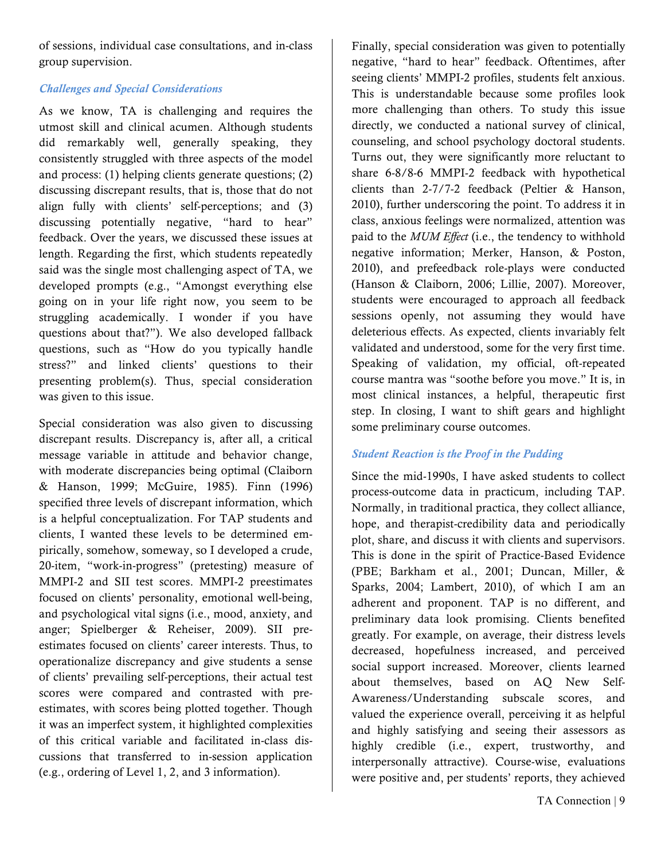of sessions, individual case consultations, and in-class group supervision.

### *Challenges and Special Considerations*

As we know, TA is challenging and requires the utmost skill and clinical acumen. Although students did remarkably well, generally speaking, they consistently struggled with three aspects of the model and process: (1) helping clients generate questions; (2) discussing discrepant results, that is, those that do not align fully with clients' self-perceptions; and (3) discussing potentially negative, "hard to hear" feedback. Over the years, we discussed these issues at length. Regarding the first, which students repeatedly said was the single most challenging aspect of TA, we developed prompts (e.g., "Amongst everything else going on in your life right now, you seem to be struggling academically. I wonder if you have questions about that?"). We also developed fallback questions, such as "How do you typically handle stress?" and linked clients' questions to their presenting problem(s). Thus, special consideration was given to this issue.

Special consideration was also given to discussing discrepant results. Discrepancy is, after all, a critical message variable in attitude and behavior change, with moderate discrepancies being optimal (Claiborn & Hanson, 1999; McGuire, 1985). Finn (1996) specified three levels of discrepant information, which is a helpful conceptualization. For TAP students and clients, I wanted these levels to be determined empirically, somehow, someway, so I developed a crude, 20-item, "work-in-progress" (pretesting) measure of MMPI-2 and SII test scores. MMPI-2 preestimates focused on clients' personality, emotional well-being, and psychological vital signs (i.e., mood, anxiety, and anger; Spielberger & Reheiser, 2009). SII preestimates focused on clients' career interests. Thus, to operationalize discrepancy and give students a sense of clients' prevailing self-perceptions, their actual test scores were compared and contrasted with preestimates, with scores being plotted together. Though it was an imperfect system, it highlighted complexities of this critical variable and facilitated in-class discussions that transferred to in-session application (e.g., ordering of Level 1, 2, and 3 information).

Finally, special consideration was given to potentially negative, "hard to hear" feedback. Oftentimes, after seeing clients' MMPI-2 profiles, students felt anxious. This is understandable because some profiles look more challenging than others. To study this issue directly, we conducted a national survey of clinical, counseling, and school psychology doctoral students. Turns out, they were significantly more reluctant to share 6-8/8-6 MMPI-2 feedback with hypothetical clients than 2-7/7-2 feedback (Peltier & Hanson, 2010), further underscoring the point. To address it in class, anxious feelings were normalized, attention was paid to the *MUM Effect* (i.e., the tendency to withhold negative information; Merker, Hanson, & Poston, 2010), and prefeedback role-plays were conducted (Hanson & Claiborn, 2006; Lillie, 2007). Moreover, students were encouraged to approach all feedback sessions openly, not assuming they would have deleterious effects. As expected, clients invariably felt validated and understood, some for the very first time. Speaking of validation, my official, oft-repeated course mantra was "soothe before you move." It is, in most clinical instances, a helpful, therapeutic first step. In closing, I want to shift gears and highlight some preliminary course outcomes.

### *Student Reaction is the Proof in the Pudding*

Since the mid-1990s, I have asked students to collect process-outcome data in practicum, including TAP. Normally, in traditional practica, they collect alliance, hope, and therapist-credibility data and periodically plot, share, and discuss it with clients and supervisors. This is done in the spirit of Practice-Based Evidence (PBE; Barkham et al., 2001; Duncan, Miller, & Sparks, 2004; Lambert, 2010), of which I am an adherent and proponent. TAP is no different, and preliminary data look promising. Clients benefited greatly. For example, on average, their distress levels decreased, hopefulness increased, and perceived social support increased. Moreover, clients learned about themselves, based on AQ New Self-Awareness/Understanding subscale scores, and valued the experience overall, perceiving it as helpful and highly satisfying and seeing their assessors as highly credible (i.e., expert, trustworthy, and interpersonally attractive). Course-wise, evaluations were positive and, per students' reports, they achieved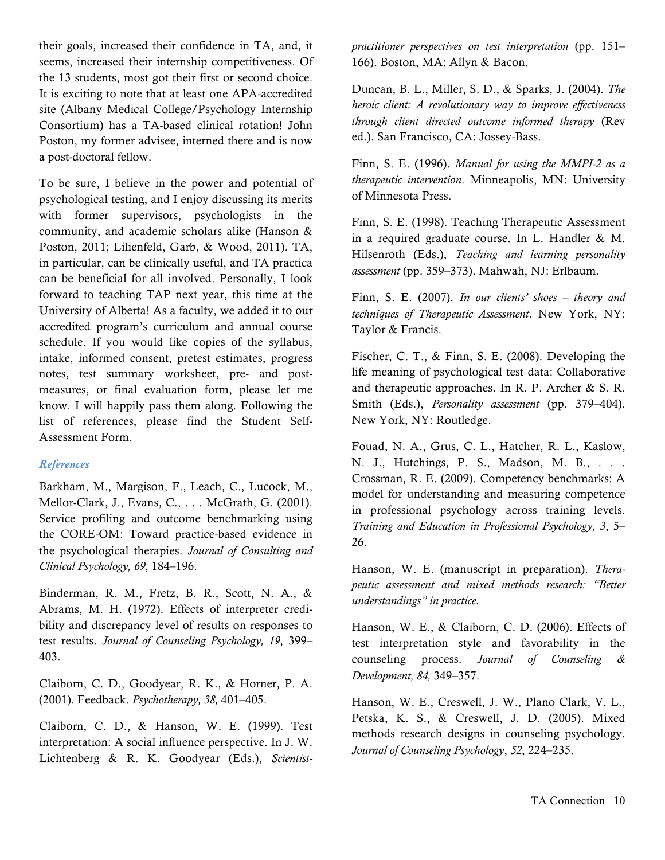their goals, increased their confidence in TA, and, it seems, increased their internship competitiveness. Of the 13 students, most got their first or second choice. It is exciting to note that at least one APA-accredited site (Albany Medical College/Psychology Internship Consortium) has a TA-based clinical rotation! John Poston, my former advisee, interned there and is now a post-doctoral fellow.

To be sure, I believe in the power and potential of psychological testing, and I enjoy discussing its merits with former supervisors, psychologists in the community, and academic scholars alike (Hanson & Poston, 2011; Lilienfeld, Garb, & Wood, 2011). TA, in particular, can be clinically useful, and TA practica can be beneficial for all involved. Personally, I look forward to teaching TAP next year, this time at the University of Alberta! As a faculty, we added it to our accredited program's curriculum and annual course schedule. If you would like copies of the syllabus, intake, informed consent, pretest estimates, progress notes, test summary worksheet, pre- and postmeasures, or final evaluation form, please let me know. I will happily pass them along. Following the list of references, please find the Student Self-Assessment Form.

### *References*

Barkham, M., Margison, F., Leach, C., Lucock, M., Mellor-Clark, J., Evans, C., . . . McGrath, G. (2001). Service profiling and outcome benchmarking using the CORE-OM: Toward practice-based evidence in the psychological therapies. *Journal of Consulting and Clinical Psychology, 69*, 184–196.

Binderman, R. M., Fretz, B. R., Scott, N. A., & Abrams, M. H. (1972). Effects of interpreter credibility and discrepancy level of results on responses to test results. *Journal of Counseling Psychology, 19*, 399– 403.

Claiborn, C. D., Goodyear, R. K., & Horner, P. A. (2001). Feedback. *Psychotherapy, 38,* 401–405.

Claiborn, C. D., & Hanson, W. E. (1999). Test interpretation: A social influence perspective. In J. W. Lichtenberg & R. K. Goodyear (Eds.), *Scientist-* *practitioner perspectives on test interpretation* (pp. 151– 166). Boston, MA: Allyn & Bacon.

Duncan, B. L., Miller, S. D., & Sparks, J. (2004). *The heroic client: A revolutionary way to improve effectiveness through client directed outcome informed therapy* (Rev ed.). San Francisco, CA: Jossey-Bass.

Finn, S. E. (1996). *Manual for using the MMPI-2 as a therapeutic intervention*. Minneapolis, MN: University of Minnesota Press.

Finn, S. E. (1998). Teaching Therapeutic Assessment in a required graduate course. In L. Handler & M. Hilsenroth (Eds.), *Teaching and learning personality assessment* (pp. 359–373). Mahwah, NJ: Erlbaum.

Finn, S. E. (2007). *In our clients' shoes – theory and techniques of Therapeutic Assessment*. New York, NY: Taylor & Francis.

Fischer, C. T., & Finn, S. E. (2008). Developing the life meaning of psychological test data: Collaborative and therapeutic approaches. In R. P. Archer & S. R. Smith (Eds.), *Personality assessment* (pp. 379–404). New York, NY: Routledge.

Fouad, N. A., Grus, C. L., Hatcher, R. L., Kaslow, N. J., Hutchings, P. S., Madson, M. B., . . . Crossman, R. E. (2009). Competency benchmarks: A model for understanding and measuring competence in professional psychology across training levels. *Training and Education in Professional Psychology, 3*, 5– 26.

Hanson, W. E. (manuscript in preparation). *Therapeutic assessment and mixed methods research: "Better understandings" in practice.* 

Hanson, W. E., & Claiborn, C. D. (2006). Effects of test interpretation style and favorability in the counseling process. *Journal of Counseling & Development, 84,* 349–357.

Hanson, W. E., Creswell, J. W., Plano Clark, V. L., Petska, K. S., & Creswell, J. D. (2005). Mixed methods research designs in counseling psychology. *Journal of Counseling Psychology*, *52*, 224–235.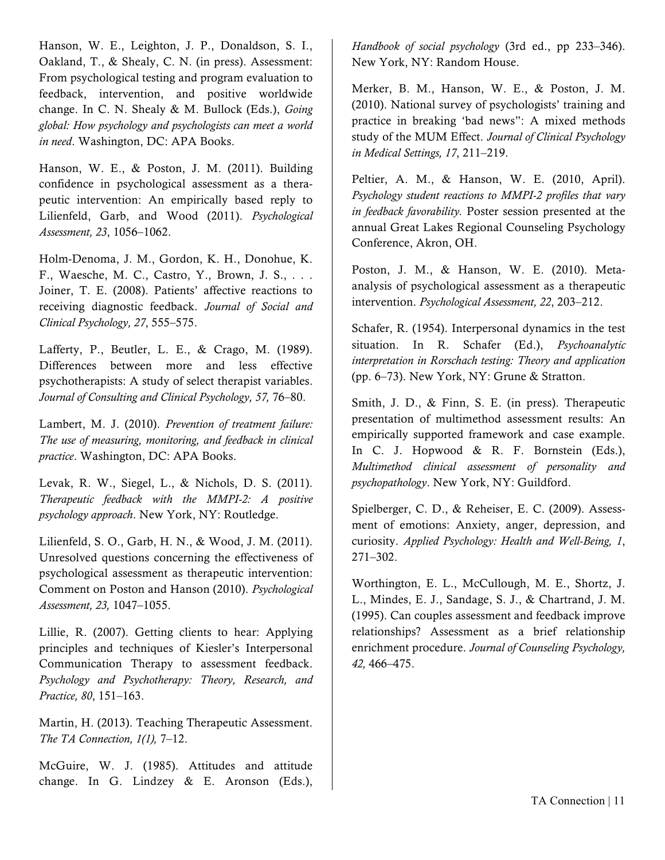Hanson, W. E., Leighton, J. P., Donaldson, S. I., Oakland, T., & Shealy, C. N. (in press). Assessment: From psychological testing and program evaluation to feedback, intervention, and positive worldwide change. In C. N. Shealy & M. Bullock (Eds.), *Going global: How psychology and psychologists can meet a world in need*. Washington, DC: APA Books.

Hanson, W. E., & Poston, J. M. (2011). Building confidence in psychological assessment as a therapeutic intervention: An empirically based reply to Lilienfeld, Garb, and Wood (2011). *Psychological Assessment, 23*, 1056–1062.

Holm-Denoma, J. M., Gordon, K. H., Donohue, K. F., Waesche, M. C., Castro, Y., Brown, J. S., . . . Joiner, T. E. (2008). Patients' affective reactions to receiving diagnostic feedback. *Journal of Social and Clinical Psychology, 27*, 555–575.

Lafferty, P., Beutler, L. E., & Crago, M. (1989). Differences between more and less effective psychotherapists: A study of select therapist variables. *Journal of Consulting and Clinical Psychology, 57,* 76–80.

Lambert, M. J. (2010). *Prevention of treatment failure: The use of measuring, monitoring, and feedback in clinical practice*. Washington, DC: APA Books.

Levak, R. W., Siegel, L., & Nichols, D. S. (2011). *Therapeutic feedback with the MMPI-2: A positive psychology approach*. New York, NY: Routledge.

Lilienfeld, S. O., Garb, H. N., & Wood, J. M. (2011). Unresolved questions concerning the effectiveness of psychological assessment as therapeutic intervention: Comment on Poston and Hanson (2010). *Psychological Assessment, 23,* 1047–1055.

Lillie, R. (2007). Getting clients to hear: Applying principles and techniques of Kiesler's Interpersonal Communication Therapy to assessment feedback. *Psychology and Psychotherapy: Theory, Research, and Practice, 80*, 151–163.

Martin, H. (2013). Teaching Therapeutic Assessment. *The TA Connection, 1(1),* 7–12.

McGuire, W. J. (1985). Attitudes and attitude change. In G. Lindzey & E. Aronson (Eds.),

*Handbook of social psychology* (3rd ed., pp 233–346). New York, NY: Random House.

Merker, B. M., Hanson, W. E., & Poston, J. M. (2010). National survey of psychologists' training and practice in breaking 'bad news": A mixed methods study of the MUM Effect. *Journal of Clinical Psychology in Medical Settings, 17*, 211–219.

Peltier, A. M., & Hanson, W. E. (2010, April). *Psychology student reactions to MMPI-2 profiles that vary in feedback favorability.* Poster session presented at the annual Great Lakes Regional Counseling Psychology Conference, Akron, OH.

Poston, J. M., & Hanson, W. E. (2010). Metaanalysis of psychological assessment as a therapeutic intervention. *Psychological Assessment, 22*, 203–212.

Schafer, R. (1954). Interpersonal dynamics in the test situation. In R. Schafer (Ed.), *Psychoanalytic interpretation in Rorschach testing: Theory and application*  (pp. 6–73). New York, NY: Grune & Stratton.

Smith, J. D., & Finn, S. E. (in press). Therapeutic presentation of multimethod assessment results: An empirically supported framework and case example. In C. J. Hopwood & R. F. Bornstein (Eds.), *Multimethod clinical assessment of personality and psychopathology*. New York, NY: Guildford.

Spielberger, C. D., & Reheiser, E. C. (2009). Assessment of emotions: Anxiety, anger, depression, and curiosity. *Applied Psychology: Health and Well-Being, 1*, 271–302.

Worthington, E. L., McCullough, M. E., Shortz, J. L., Mindes, E. J., Sandage, S. J., & Chartrand, J. M. (1995). Can couples assessment and feedback improve relationships? Assessment as a brief relationship enrichment procedure. *Journal of Counseling Psychology, 42,* 466–475.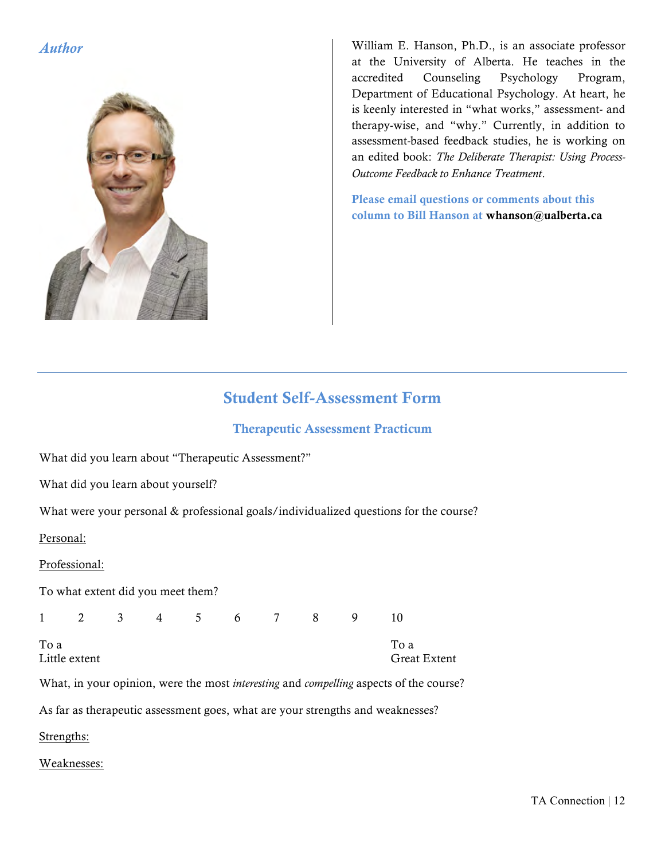

*Author* William E. Hanson, Ph.D., is an associate professor at the University of Alberta. He teaches in the accredited Counseling Psychology Program, Department of Educational Psychology. At heart, he is keenly interested in "what works," assessment- and therapy-wise, and "why." Currently, in addition to assessment-based feedback studies, he is working on an edited book: *The Deliberate Therapist: Using Process-Outcome Feedback to Enhance Treatment*.

> Please email questions or comments about this column to Bill Hanson at whanson@ualberta.ca

### Student Self-Assessment Form

### Therapeutic Assessment Practicum

What did you learn about "Therapeutic Assessment?"

What did you learn about yourself?

What were your personal & professional goals/individualized questions for the course?

Personal:

Professional:

To what extent did you meet them?

1 2 3 4 5 6 7 8 9 10

To a To a

Little extent Great Extent

What, in your opinion, were the most *interesting* and *compelling* aspects of the course?

As far as therapeutic assessment goes, what are your strengths and weaknesses?

Strengths:

Weaknesses: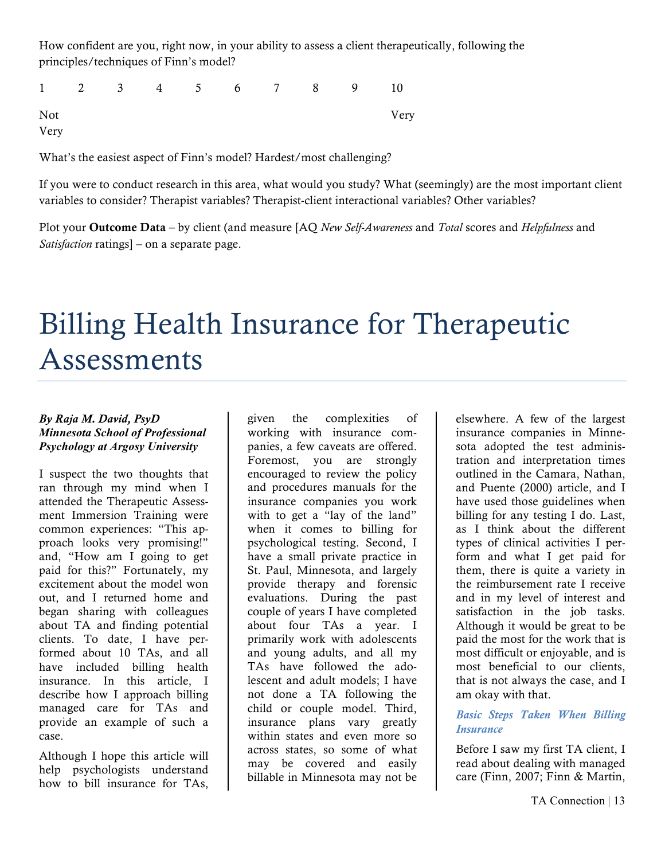How confident are you, right now, in your ability to assess a client therapeutically, following the principles/techniques of Finn's model?

1 2 3 4 5 6 7 8 9 10 Not Very Very

What's the easiest aspect of Finn's model? Hardest/most challenging?

If you were to conduct research in this area, what would you study? What (seemingly) are the most important client variables to consider? Therapist variables? Therapist-client interactional variables? Other variables?

Plot your Outcome Data – by client (and measure [AQ *New Self-Awareness* and *Total* scores and *Helpfulness* and *Satisfaction* ratings] – on a separate page.

## Billing Health Insurance for Therapeutic Assessments

### *By Raja M. David, PsyD Minnesota School of Professional Psychology at Argosy University*

I suspect the two thoughts that ran through my mind when I attended the Therapeutic Assessment Immersion Training were common experiences: "This approach looks very promising!" and, "How am I going to get paid for this?" Fortunately, my excitement about the model won out, and I returned home and began sharing with colleagues about TA and finding potential clients. To date, I have performed about 10 TAs, and all have included billing health insurance. In this article, I describe how I approach billing managed care for TAs and provide an example of such a case.

Although I hope this article will help psychologists understand how to bill insurance for TAs,

given the complexities of working with insurance companies, a few caveats are offered. Foremost, you are strongly encouraged to review the policy and procedures manuals for the insurance companies you work with to get a "lay of the land" when it comes to billing for psychological testing. Second, I have a small private practice in St. Paul, Minnesota, and largely provide therapy and forensic evaluations. During the past couple of years I have completed about four TAs a year. I primarily work with adolescents and young adults, and all my TAs have followed the adolescent and adult models; I have not done a TA following the child or couple model. Third, insurance plans vary greatly within states and even more so across states, so some of what may be covered and easily billable in Minnesota may not be

elsewhere. A few of the largest insurance companies in Minnesota adopted the test administration and interpretation times outlined in the Camara, Nathan, and Puente (2000) article, and I have used those guidelines when billing for any testing I do. Last, as I think about the different types of clinical activities I perform and what I get paid for them, there is quite a variety in the reimbursement rate I receive and in my level of interest and satisfaction in the job tasks. Although it would be great to be paid the most for the work that is most difficult or enjoyable, and is most beneficial to our clients, that is not always the case, and I am okay with that.

### *Basic Steps Taken When Billing Insurance*

Before I saw my first TA client, I read about dealing with managed care (Finn, 2007; Finn & Martin,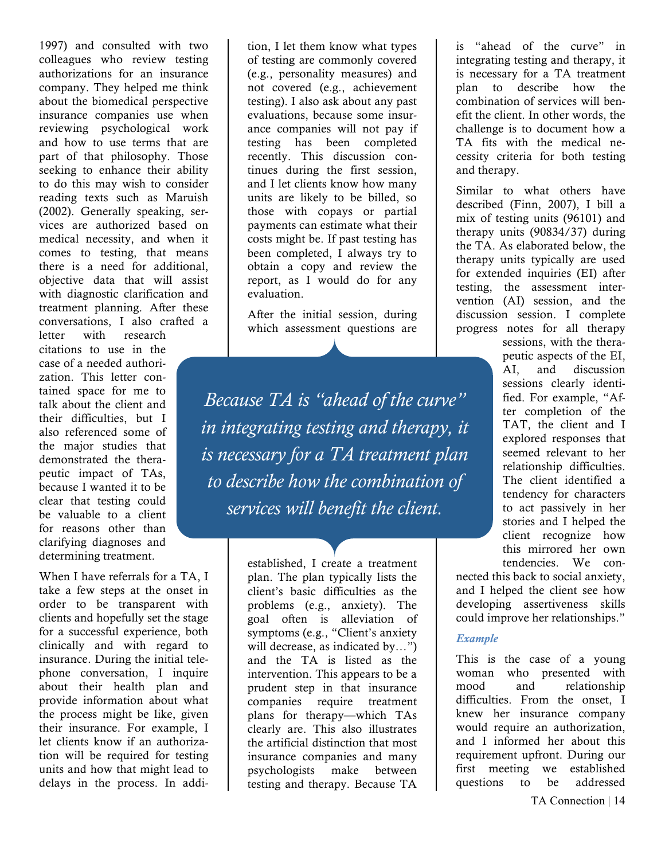1997) and consulted with two colleagues who review testing authorizations for an insurance company. They helped me think about the biomedical perspective insurance companies use when reviewing psychological work and how to use terms that are part of that philosophy. Those seeking to enhance their ability to do this may wish to consider reading texts such as Maruish (2002). Generally speaking, services are authorized based on medical necessity, and when it comes to testing, that means there is a need for additional, objective data that will assist with diagnostic clarification and treatment planning. After these conversations, I also crafted a

letter with research citations to use in the case of a needed authorization. This letter contained space for me to talk about the client and their difficulties, but I also referenced some of the major studies that demonstrated the therapeutic impact of TAs, because I wanted it to be clear that testing could be valuable to a client for reasons other than clarifying diagnoses and determining treatment.

When I have referrals for a TA, I take a few steps at the onset in order to be transparent with clients and hopefully set the stage for a successful experience, both clinically and with regard to insurance. During the initial telephone conversation, I inquire about their health plan and provide information about what the process might be like, given their insurance. For example, I let clients know if an authorization will be required for testing units and how that might lead to delays in the process. In addi-

tion, I let them know what types of testing are commonly covered (e.g., personality measures) and not covered (e.g., achievement testing). I also ask about any past evaluations, because some insurance companies will not pay if testing has been completed recently. This discussion continues during the first session, and I let clients know how many units are likely to be billed, so those with copays or partial payments can estimate what their costs might be. If past testing has been completed, I always try to obtain a copy and review the report, as I would do for any evaluation.

After the initial session, during which assessment questions are

*Because TA is "ahead of the curve" in integrating testing and therapy, it is necessary for a TA treatment plan to describe how the combination of services will benefit the client.*

> established, I create a treatment plan. The plan typically lists the client's basic difficulties as the problems (e.g., anxiety). The goal often is alleviation of symptoms (e.g., "Client's anxiety will decrease, as indicated by…") and the TA is listed as the intervention. This appears to be a prudent step in that insurance companies require treatment plans for therapy—which TAs clearly are. This also illustrates the artificial distinction that most insurance companies and many psychologists make between testing and therapy. Because TA

is "ahead of the curve" in integrating testing and therapy, it is necessary for a TA treatment plan to describe how the combination of services will benefit the client. In other words, the challenge is to document how a TA fits with the medical necessity criteria for both testing and therapy.

Similar to what others have described (Finn, 2007), I bill a mix of testing units (96101) and therapy units (90834/37) during the TA. As elaborated below, the therapy units typically are used for extended inquiries (EI) after testing, the assessment intervention (AI) session, and the discussion session. I complete progress notes for all therapy

> sessions, with the therapeutic aspects of the EI, AI, and discussion sessions clearly identified. For example, "After completion of the TAT, the client and I explored responses that seemed relevant to her relationship difficulties. The client identified a tendency for characters to act passively in her stories and I helped the client recognize how this mirrored her own tendencies. We con-

nected this back to social anxiety, and I helped the client see how developing assertiveness skills could improve her relationships."

### *Example*

This is the case of a young woman who presented with mood and relationship difficulties. From the onset, I knew her insurance company would require an authorization, and I informed her about this requirement upfront. During our first meeting we established questions to be addressed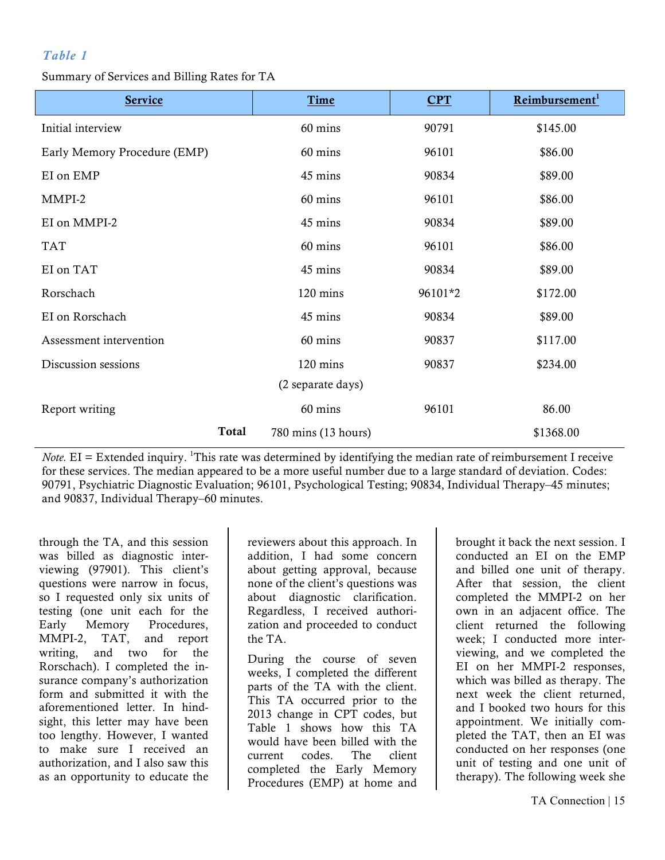### *Table 1*

Summary of Services and Billing Rates for TA

| <b>Service</b>               | Time                | <b>CPT</b> | Reimbursement <sup>1</sup> |
|------------------------------|---------------------|------------|----------------------------|
| Initial interview            | 60 mins             | 90791      | \$145.00                   |
| Early Memory Procedure (EMP) | 60 mins             | 96101      | \$86.00                    |
| EI on EMP                    | 45 mins             | 90834      | \$89.00                    |
| MMPI-2                       | 60 mins             | 96101      | \$86.00                    |
| EI on MMPI-2                 | 45 mins             | 90834      | \$89.00                    |
| <b>TAT</b>                   | 60 mins             | 96101      | \$86.00                    |
| EI on TAT                    | 45 mins             | 90834      | \$89.00                    |
| Rorschach                    | 120 mins            | 96101*2    | \$172.00                   |
| EI on Rorschach              | 45 mins             | 90834      | \$89.00                    |
| Assessment intervention      | 60 mins             | 90837      | \$117.00                   |
| Discussion sessions          | 120 mins            | 90837      | \$234.00                   |
|                              | (2 separate days)   |            |                            |
| Report writing               | 60 mins             | 96101      | 86.00                      |
| Total                        | 780 mins (13 hours) |            | \$1368.00                  |

*Note.* EI = Extended inquiry. <sup>1</sup>This rate was determined by identifying the median rate of reimbursement I receive for these services. The median appeared to be a more useful number due to a large standard of deviation. Codes: 90791, Psychiatric Diagnostic Evaluation; 96101, Psychological Testing; 90834, Individual Therapy–45 minutes; and 90837, Individual Therapy–60 minutes.

through the TA, and this session was billed as diagnostic interviewing (97901). This client's questions were narrow in focus, so I requested only six units of testing (one unit each for the Early Memory Procedures, MMPI-2, TAT, and report writing, and two for the Rorschach). I completed the insurance company's authorization form and submitted it with the aforementioned letter. In hindsight, this letter may have been too lengthy. However, I wanted to make sure I received an authorization, and I also saw this as an opportunity to educate the

reviewers about this approach. In addition, I had some concern about getting approval, because none of the client's questions was about diagnostic clarification. Regardless, I received authorization and proceeded to conduct the TA.

During the course of seven weeks, I completed the different parts of the TA with the client. This TA occurred prior to the 2013 change in CPT codes, but Table 1 shows how this TA would have been billed with the current codes. The client completed the Early Memory Procedures (EMP) at home and

brought it back the next session. I conducted an EI on the EMP and billed one unit of therapy. After that session, the client completed the MMPI-2 on her own in an adjacent office. The client returned the following week; I conducted more interviewing, and we completed the EI on her MMPI-2 responses, which was billed as therapy. The next week the client returned, and I booked two hours for this appointment. We initially completed the TAT, then an EI was conducted on her responses (one unit of testing and one unit of therapy). The following week she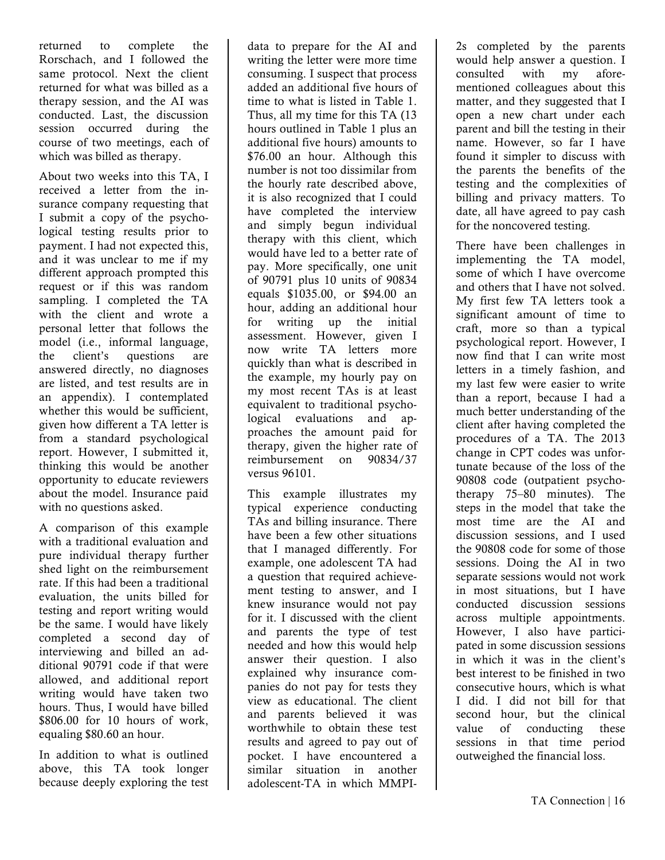returned to complete the Rorschach, and I followed the same protocol. Next the client returned for what was billed as a therapy session, and the AI was conducted. Last, the discussion session occurred during the course of two meetings, each of which was billed as therapy.

About two weeks into this TA, I received a letter from the insurance company requesting that I submit a copy of the psychological testing results prior to payment. I had not expected this, and it was unclear to me if my different approach prompted this request or if this was random sampling. I completed the TA with the client and wrote a personal letter that follows the model (i.e., informal language, the client's questions are answered directly, no diagnoses are listed, and test results are in an appendix). I contemplated whether this would be sufficient, given how different a TA letter is from a standard psychological report. However, I submitted it, thinking this would be another opportunity to educate reviewers about the model. Insurance paid with no questions asked.

A comparison of this example with a traditional evaluation and pure individual therapy further shed light on the reimbursement rate. If this had been a traditional evaluation, the units billed for testing and report writing would be the same. I would have likely completed a second day of interviewing and billed an additional 90791 code if that were allowed, and additional report writing would have taken two hours. Thus, I would have billed \$806.00 for 10 hours of work, equaling \$80.60 an hour.

In addition to what is outlined above, this TA took longer because deeply exploring the test

data to prepare for the AI and writing the letter were more time consuming. I suspect that process added an additional five hours of time to what is listed in Table 1. Thus, all my time for this TA (13 hours outlined in Table 1 plus an additional five hours) amounts to \$76.00 an hour. Although this number is not too dissimilar from the hourly rate described above, it is also recognized that I could have completed the interview and simply begun individual therapy with this client, which would have led to a better rate of pay. More specifically, one unit of 90791 plus 10 units of 90834 equals \$1035.00, or \$94.00 an hour, adding an additional hour for writing up the initial assessment. However, given I now write TA letters more quickly than what is described in the example, my hourly pay on my most recent TAs is at least equivalent to traditional psychological evaluations and approaches the amount paid for therapy, given the higher rate of reimbursement on 90834/37 versus 96101.

This example illustrates my typical experience conducting TAs and billing insurance. There have been a few other situations that I managed differently. For example, one adolescent TA had a question that required achievement testing to answer, and I knew insurance would not pay for it. I discussed with the client and parents the type of test needed and how this would help answer their question. I also explained why insurance companies do not pay for tests they view as educational. The client and parents believed it was worthwhile to obtain these test results and agreed to pay out of pocket. I have encountered a similar situation in another adolescent-TA in which MMPI-

2s completed by the parents would help answer a question. I consulted with my aforementioned colleagues about this matter, and they suggested that I open a new chart under each parent and bill the testing in their name. However, so far I have found it simpler to discuss with the parents the benefits of the testing and the complexities of billing and privacy matters. To date, all have agreed to pay cash for the noncovered testing.

There have been challenges in implementing the TA model, some of which I have overcome and others that I have not solved. My first few TA letters took a significant amount of time to craft, more so than a typical psychological report. However, I now find that I can write most letters in a timely fashion, and my last few were easier to write than a report, because I had a much better understanding of the client after having completed the procedures of a TA. The 2013 change in CPT codes was unfortunate because of the loss of the 90808 code (outpatient psychotherapy 75–80 minutes). The steps in the model that take the most time are the AI and discussion sessions, and I used the 90808 code for some of those sessions. Doing the AI in two separate sessions would not work in most situations, but I have conducted discussion sessions across multiple appointments. However, I also have participated in some discussion sessions in which it was in the client's best interest to be finished in two consecutive hours, which is what I did. I did not bill for that second hour, but the clinical value of conducting these sessions in that time period outweighed the financial loss.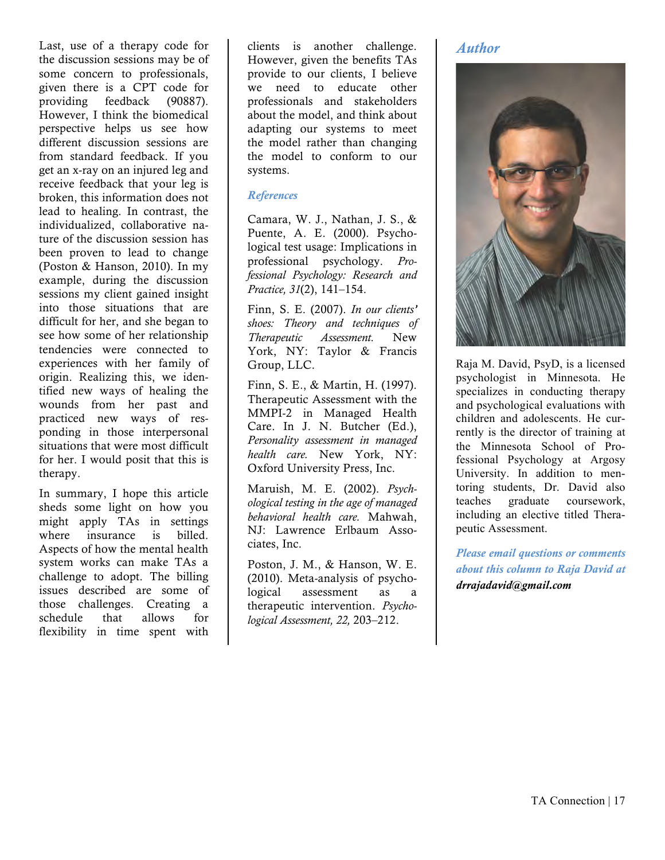Last, use of a therapy code for the discussion sessions may be of some concern to professionals, given there is a CPT code for providing feedback (90887). However, I think the biomedical perspective helps us see how different discussion sessions are from standard feedback. If you get an x-ray on an injured leg and receive feedback that your leg is broken, this information does not lead to healing. In contrast, the individualized, collaborative nature of the discussion session has been proven to lead to change (Poston & Hanson, 2010). In my example, during the discussion sessions my client gained insight into those situations that are difficult for her, and she began to see how some of her relationship tendencies were connected to experiences with her family of origin. Realizing this, we identified new ways of healing the wounds from her past and practiced new ways of responding in those interpersonal situations that were most difficult for her. I would posit that this is therapy.

In summary, I hope this article sheds some light on how you might apply TAs in settings where insurance is billed. Aspects of how the mental health system works can make TAs a challenge to adopt. The billing issues described are some of those challenges. Creating a schedule that allows for flexibility in time spent with clients is another challenge. However, given the benefits TAs provide to our clients, I believe we need to educate other professionals and stakeholders about the model, and think about adapting our systems to meet the model rather than changing the model to conform to our systems.

### *References*

Camara, W. J., Nathan, J. S., & Puente, A. E. (2000). Psychological test usage: Implications in professional psychology. *Professional Psychology: Research and Practice, 31*(2), 141–154.

Finn, S. E. (2007). *In our clients' shoes: Theory and techniques of Therapeutic Assessment.* New York, NY: Taylor & Francis Group, LLC.

Finn, S. E., & Martin, H. (1997). Therapeutic Assessment with the MMPI-2 in Managed Health Care. In J. N. Butcher (Ed.), *Personality assessment in managed health care.* New York, NY: Oxford University Press, Inc.

Maruish, M. E. (2002). *Psychological testing in the age of managed behavioral health care.* Mahwah, NJ: Lawrence Erlbaum Associates, Inc.

Poston, J. M., & Hanson, W. E. (2010). Meta-analysis of psychological assessment as a therapeutic intervention. *Psychological Assessment, 22,* 203–212.

### *Author*



Raja M. David, PsyD, is a licensed psychologist in Minnesota. He specializes in conducting therapy and psychological evaluations with children and adolescents. He currently is the director of training at the Minnesota School of Professional Psychology at Argosy University. In addition to mentoring students, Dr. David also teaches graduate coursework, including an elective titled Therapeutic Assessment.

*Please email questions or comments about this column to Raja David at drrajadavid@gmail.com*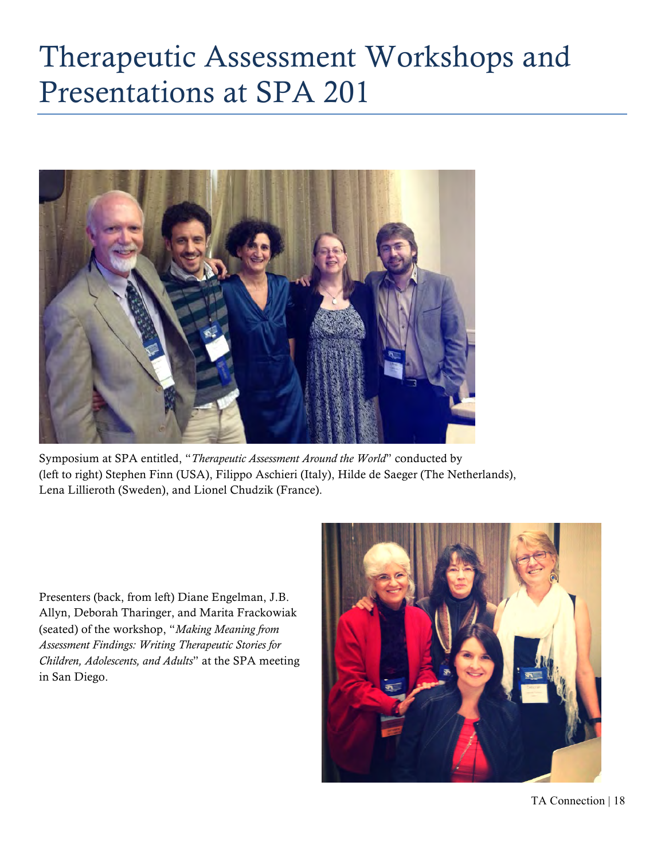## Therapeutic Assessment Workshops and Presentations at SPA 201



Symposium at SPA entitled, "*Therapeutic Assessment Around the World*" conducted by (left to right) Stephen Finn (USA), Filippo Aschieri (Italy), Hilde de Saeger (The Netherlands), Lena Lillieroth (Sweden), and Lionel Chudzik (France).

Presenters (back, from left) Diane Engelman, J.B. Allyn, Deborah Tharinger, and Marita Frackowiak (seated) of the workshop, "*Making Meaning from Assessment Findings: Writing Therapeutic Stories for Children, Adolescents, and Adults*" at the SPA meeting in San Diego.

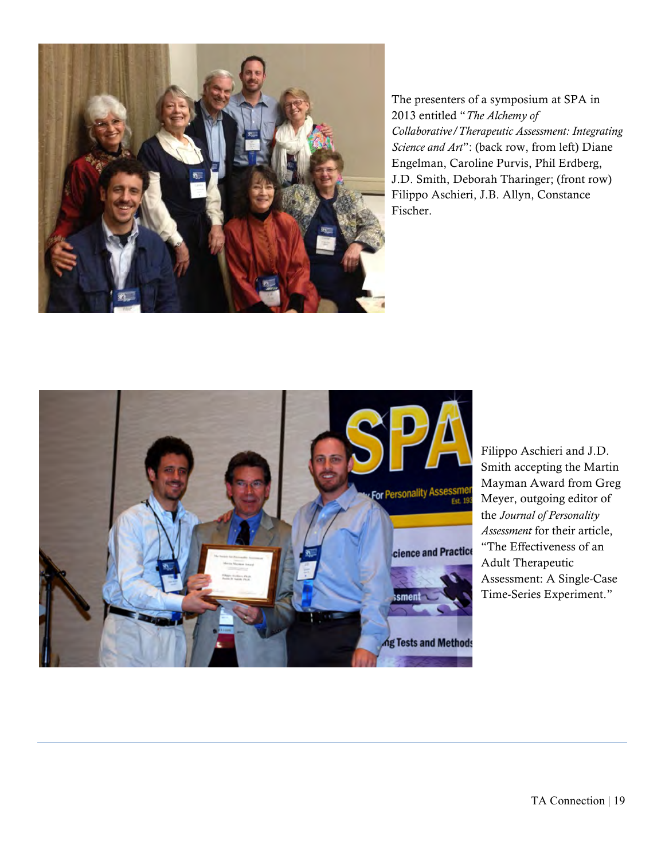

The presenters of a symposium at SPA in 2013 entitled "*The Alchemy of Collaborative/Therapeutic Assessment: Integrating Science and Art*": (back row, from left) Diane Engelman, Caroline Purvis, Phil Erdberg, J.D. Smith, Deborah Tharinger; (front row) Filippo Aschieri, J.B. Allyn, Constance Fischer.



Filippo Aschieri and J.D. Smith accepting the Martin Mayman Award from Greg Meyer, outgoing editor of the *Journal of Personality Assessment* for their article, "The Effectiveness of an Adult Therapeutic Assessment: A Single-Case Time-Series Experiment."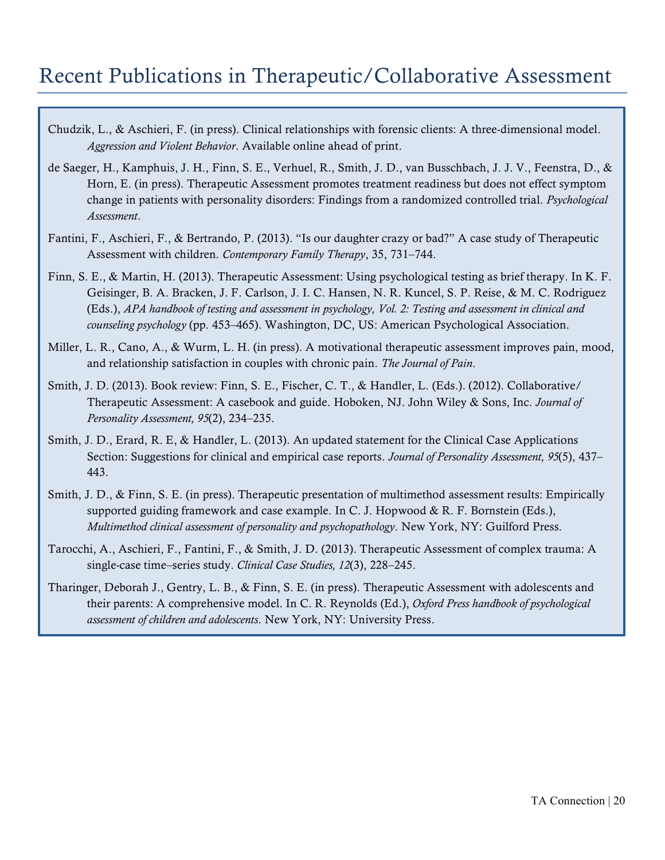## Recent Publications in Therapeutic/Collaborative Assessment

- Chudzik, L., & Aschieri, F. (in press). Clinical relationships with forensic clients: A three-dimensional model. *Aggression and Violent Behavior*. Available online ahead of print.
- de Saeger, H., Kamphuis, J. H., Finn, S. E., Verhuel, R., Smith, J. D., van Busschbach, J. J. V., Feenstra, D., & Horn, E. (in press). Therapeutic Assessment promotes treatment readiness but does not effect symptom change in patients with personality disorders: Findings from a randomized controlled trial. *Psychological Assessment*.
- Fantini, F., Aschieri, F., & Bertrando, P. (2013). "Is our daughter crazy or bad?" A case study of Therapeutic Assessment with children. *Contemporary Family Therapy*, 35, 731–744.
- Finn, S. E., & Martin, H. (2013). Therapeutic Assessment: Using psychological testing as brief therapy. In K. F. Geisinger, B. A. Bracken, J. F. Carlson, J. I. C. Hansen, N. R. Kuncel, S. P. Reise, & M. C. Rodriguez (Eds.), *APA handbook of testing and assessment in psychology, Vol. 2: Testing and assessment in clinical and counseling psychology* (pp. 453–465). Washington, DC, US: American Psychological Association.
- Miller, L. R., Cano, A., & Wurm, L. H. (in press). A motivational therapeutic assessment improves pain, mood, and relationship satisfaction in couples with chronic pain. *The Journal of Pain*.
- Smith, J. D. (2013). Book review: Finn, S. E., Fischer, C. T., & Handler, L. (Eds.). (2012). Collaborative/ Therapeutic Assessment: A casebook and guide. Hoboken, NJ. John Wiley & Sons, Inc. *Journal of Personality Assessment, 95*(2), 234–235.
- Smith, J. D., Erard, R. E, & Handler, L. (2013). An updated statement for the Clinical Case Applications Section: Suggestions for clinical and empirical case reports. *Journal of Personality Assessment, 95*(5), 437– 443.
- Smith, J. D., & Finn, S. E. (in press). Therapeutic presentation of multimethod assessment results: Empirically supported guiding framework and case example. In C. J. Hopwood  $\&R$ , F. Bornstein (Eds.), *Multimethod clinical assessment of personality and psychopathology*. New York, NY: Guilford Press.
- Tarocchi, A., Aschieri, F., Fantini, F., & Smith, J. D. (2013). Therapeutic Assessment of complex trauma: A single-case time–series study. *Clinical Case Studies, 12*(3), 228–245.
- Tharinger, Deborah J., Gentry, L. B., & Finn, S. E. (in press). Therapeutic Assessment with adolescents and their parents: A comprehensive model. In C. R. Reynolds (Ed.), *Oxford Press handbook of psychological assessment of children and adolescents*. New York, NY: University Press.